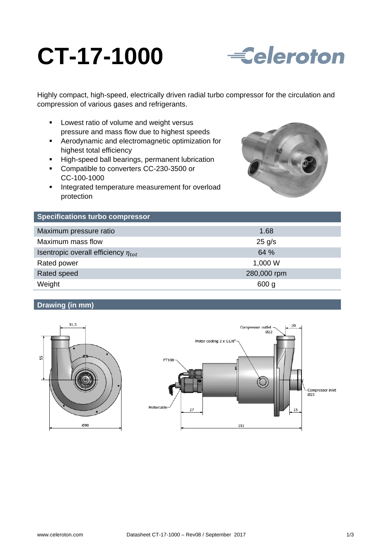# **CT-17-1000**



Highly compact, high-speed, electrically driven radial turbo compressor for the circulation and compression of various gases and refrigerants.

- **Lowest ratio of volume and weight versus** pressure and mass flow due to highest speeds
- Aerodynamic and electromagnetic optimization for highest total efficiency
- High-speed ball bearings, permanent lubrication
- Compatible to converters CC-230-3500 or CC-100-1000
- **Integrated temperature measurement for overload** protection



| <b>Specifications turbo compressor</b>     |             |
|--------------------------------------------|-------------|
| Maximum pressure ratio                     | 1.68        |
| Maximum mass flow                          | $25$ g/s    |
| Isentropic overall efficiency $\eta_{tot}$ | 64 %        |
| Rated power                                | 1,000 W     |
| Rated speed                                | 280,000 rpm |
| Weight                                     | 600 g       |

# **Drawing (in mm)**



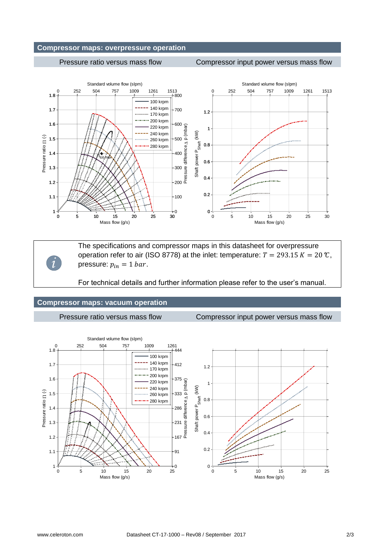# **Compressor maps: overpressure operation**

## Pressure ratio versus mass flow Compressor input power versus mass flow



*i*

The specifications and compressor maps in this datasheet for overpressure operation refer to air (ISO 8778) at the inlet: temperature:  $T = 293.15 K = 20 \text{ °C}$ , pressure:  $p_{in} = 1$  bar.

For technical details and further information please refer to the user's manual.

### **Compressor maps: vacuum operation**

Pressure ratio versus mass flow Compressor input power versus mass flow